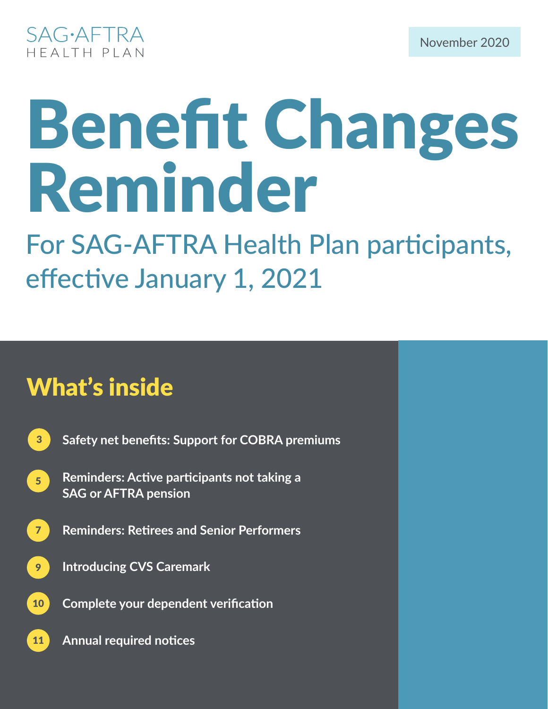

# Benefit Changes Reminder

For SAG-AFTRA Health Plan participants, effective January 1, 2021

# What's inside

- 3 **Safety net benefits: Support for COBRA premiums**
- 5 **Reminders: Active participants not taking a SAG or AFTRA pension**
- 7 **Reminders: Retirees and Senior Performers**
- 9 **Introducing CVS Caremark**
- 10 **Complete your dependent verification**
	- **Annual required notices**

11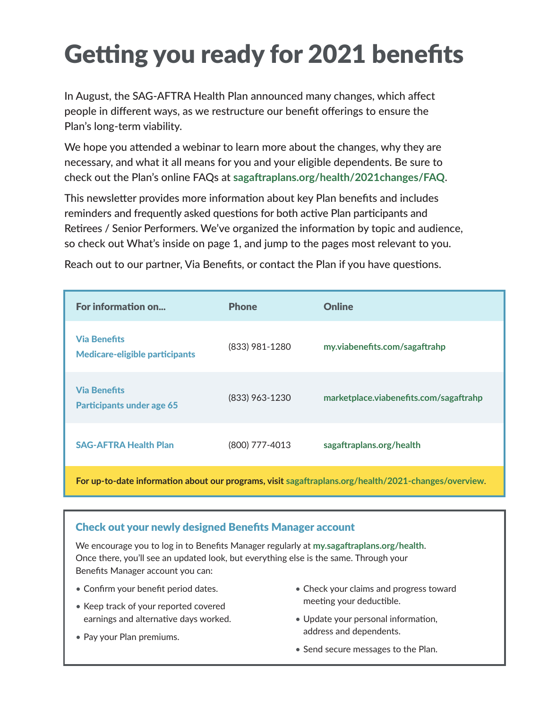# Getting you ready for 2021 benefits

In August, the SAG-AFTRA Health Plan announced many changes, which affect people in different ways, as we restructure our benefit offerings to ensure the Plan's long-term viability.

We hope you attended a webinar to learn more about the changes, why they are necessary, and what it all means for you and your eligible dependents. Be sure to check out the Plan's online FAQs at **sagaftraplans.org/health/2021changes/FAQ**.

This newsletter provides more information about key Plan benefits and includes reminders and frequently asked questions for both active Plan participants and Retirees / Senior Performers. We've organized the information by topic and audience, so check out What's inside on page 1, and jump to the pages most relevant to you.

| For information on                                           | <b>Phone</b>   | <b>Online</b>                          |
|--------------------------------------------------------------|----------------|----------------------------------------|
| <b>Via Benefits</b><br><b>Medicare-eligible participants</b> | (833) 981-1280 | my.viabenefits.com/sagaftrahp          |
| <b>Via Benefits</b><br><b>Participants under age 65</b>      | (833) 963-1230 | marketplace.viabenefits.com/sagaftrahp |
| <b>SAG-AFTRA Health Plan</b>                                 | (800) 777-4013 | sagaftraplans.org/health               |
|                                                              |                |                                        |

Reach out to our partner, Via Benefits, or contact the Plan if you have questions.

**For up-to-date information about our programs, visit sagaftraplans.org/health/2021-changes/overview**.

#### Check out your newly designed Benefits Manager account

We encourage you to log in to Benefits Manager regularly at **my.sagaftraplans.org/health**. Once there, you'll see an updated look, but everything else is the same. Through your Benefits Manager account you can:

- Confirm your benefit period dates.
- Keep track of your reported covered earnings and alternative days worked.
- Pay your Plan premiums.
- Check your claims and progress toward meeting your deductible.
- Update your personal information, address and dependents.
- Send secure messages to the Plan.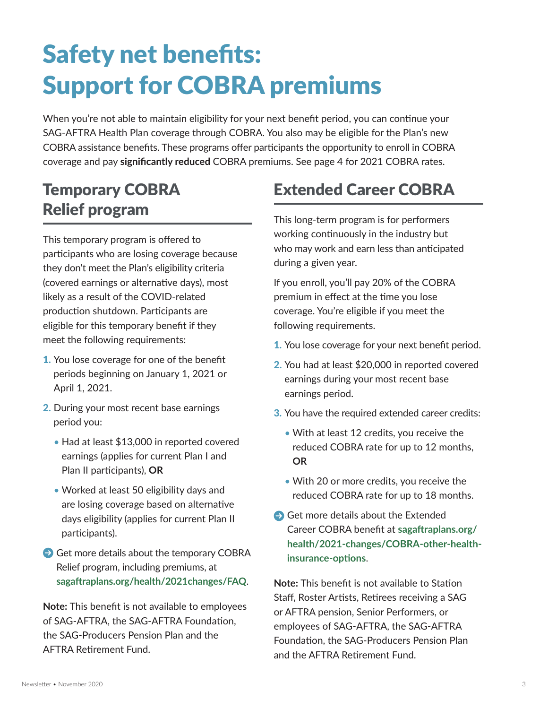# Safety net benefits: Support for COBRA premiums

When you're not able to maintain eligibility for your next benefit period, you can continue your SAG-AFTRA Health Plan coverage through COBRA. You also may be eligible for the Plan's new COBRA assistance benefits. These programs offer participants the opportunity to enroll in COBRA coverage and pay **significantly reduced** COBRA premiums. See page 4 for 2021 COBRA rates.

# Temporary COBRA Relief program

This temporary program is offered to participants who are losing coverage because they don't meet the Plan's eligibility criteria (covered earnings or alternative days), most likely as a result of the COVID-related production shutdown. Participants are eligible for this temporary benefit if they meet the following requirements:

- 1. You lose coverage for one of the benefit periods beginning on January 1, 2021 or April 1, 2021.
- 2. During your most recent base earnings period you:
	- Had at least \$13,000 in reported covered earnings (applies for current Plan I and Plan II participants), **OR**
	- Worked at least 50 eligibility days and are losing coverage based on alternative days eligibility (applies for current Plan II participants).
- Get more details about the temporary COBRA Relief program, including premiums, at **sagaftraplans.org/health/2021changes/FAQ**.

**Note:** This benefit is not available to employees of SAG-AFTRA, the SAG-AFTRA Foundation, the SAG-Producers Pension Plan and the AFTRA Retirement Fund.

# Extended Career COBRA

This long-term program is for performers working continuously in the industry but who may work and earn less than anticipated during a given year.

If you enroll, you'll pay 20% of the COBRA premium in effect at the time you lose coverage. You're eligible if you meet the following requirements.

- 1. You lose coverage for your next benefit period.
- 2. You had at least \$20,000 in reported covered earnings during your most recent base earnings period.
- **3.** You have the required extended career credits:
	- With at least 12 credits, you receive the reduced COBRA rate for up to 12 months, **OR**
	- With 20 or more credits, you receive the reduced COBRA rate for up to 18 months.
- $\ominus$  Get more details about the Extended Career COBRA benefit at **sagaftraplans.org/ health/2021-changes/COBRA-other-healthinsurance-options**.

**Note:** This benefit is not available to Station Staff, Roster Artists, Retirees receiving a SAG or AFTRA pension, Senior Performers, or employees of SAG-AFTRA, the SAG-AFTRA Foundation, the SAG-Producers Pension Plan and the AFTRA Retirement Fund.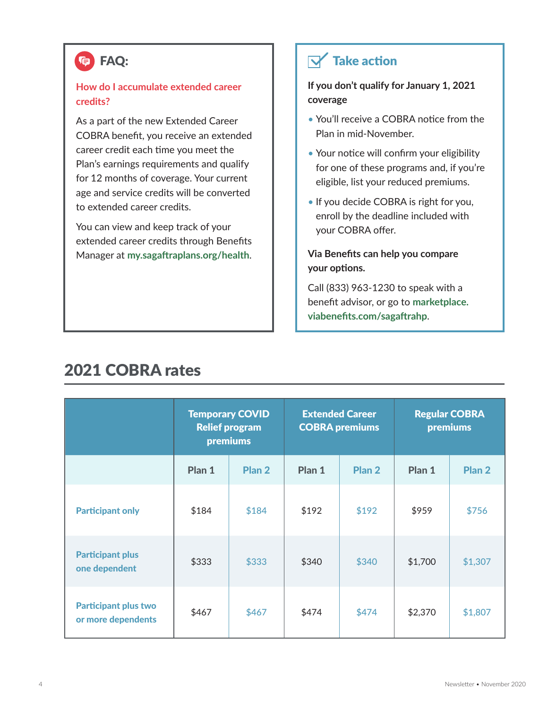### (**C)** FAQ:

#### **How do I accumulate extended career credits?**

As a part of the new Extended Career COBRA benefit, you receive an extended career credit each time you meet the Plan's earnings requirements and qualify for 12 months of coverage. Your current age and service credits will be converted to extended career credits.

You can view and keep track of your extended career credits through Benefits Manager at **my.sagaftraplans.org/health**.

### $\nabla$  Take action

**If you don't qualify for January 1, 2021 coverage**

- You'll receive a COBRA notice from the Plan in mid-November.
- Your notice will confirm your eligibility for one of these programs and, if you're eligible, list your reduced premiums.
- If you decide COBRA is right for you, enroll by the deadline included with your COBRA offer.

#### **Via Benefits can help you compare your options.**

Call (833) 963-1230 to speak with a benefit advisor, or go to **marketplace. viabenefits.com/sagaftrahp**.

|                                                   | <b>Temporary COVID</b><br><b>Relief program</b><br>premiums |        | <b>Extended Career</b><br><b>COBRA premiums</b> |                   | <b>Regular COBRA</b><br>premiums |                   |
|---------------------------------------------------|-------------------------------------------------------------|--------|-------------------------------------------------|-------------------|----------------------------------|-------------------|
|                                                   | Plan 1                                                      | Plan 2 | Plan 1                                          | Plan <sub>2</sub> | Plan 1                           | Plan <sub>2</sub> |
| <b>Participant only</b>                           | \$184                                                       | \$184  | \$192                                           | \$192             | \$959                            | \$756             |
| <b>Participant plus</b><br>one dependent          | \$333                                                       | \$333  | \$340                                           | \$340             | \$1,700                          | \$1,307           |
| <b>Participant plus two</b><br>or more dependents | \$467                                                       | \$467  | \$474                                           | \$474             | \$2,370                          | \$1,807           |

### 2021 COBRA rates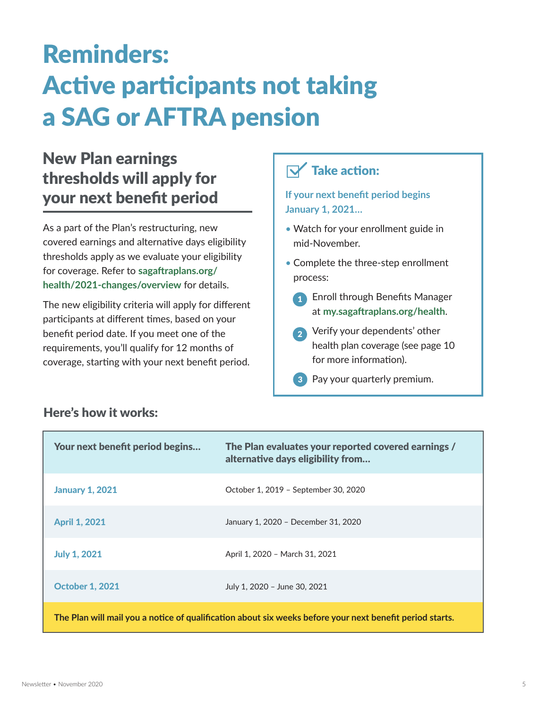# Reminders: Active participants not taking a SAG or AFTRA pension

## New Plan earnings thresholds will apply for your next benefit period

As a part of the Plan's restructuring, new covered earnings and alternative days eligibility thresholds apply as we evaluate your eligibility for coverage. Refer to **sagaftraplans.org/ health/2021-changes/overview** for details.

The new eligibility criteria will apply for different participants at different times, based on your benefit period date. If you meet one of the requirements, you'll qualify for 12 months of coverage, starting with your next benefit period.

### $\nabla$  Take action:

**If your next benefit period begins January 1, 2021…**

- Watch for your enrollment guide in mid-November.
- Complete the three-step enrollment process:
	- **1** Enroll through Benefits Manager at **my.sagaftraplans.org/health**.
	- 2 Verify your dependents' other health plan coverage (see page 10 for more information).
	- **3** Pay your quarterly premium.

| Your next benefit period begins                                                                          | The Plan evaluates your reported covered earnings /<br>alternative days eligibility from |  |  |  |
|----------------------------------------------------------------------------------------------------------|------------------------------------------------------------------------------------------|--|--|--|
| <b>January 1, 2021</b>                                                                                   | October 1, 2019 - September 30, 2020                                                     |  |  |  |
| <b>April 1, 2021</b>                                                                                     | January 1, 2020 - December 31, 2020                                                      |  |  |  |
| <b>July 1, 2021</b>                                                                                      | April 1, 2020 - March 31, 2021                                                           |  |  |  |
| <b>October 1, 2021</b>                                                                                   | July 1, 2020 - June 30, 2021                                                             |  |  |  |
| The Plan will mail you a notice of qualification about six weeks before your next benefit period starts. |                                                                                          |  |  |  |

#### Here's how it works: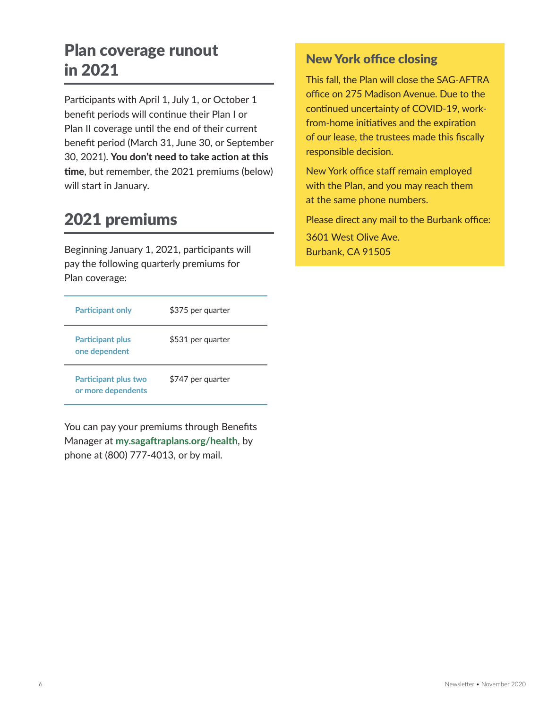# Plan coverage runout in 2021

Participants with April 1, July 1, or October 1 benefit periods will continue their Plan I or Plan II coverage until the end of their current benefit period (March 31, June 30, or September 30, 2021). **You don't need to take action at this time**, but remember, the 2021 premiums (below) will start in January.

# 2021 premiums

Beginning January 1, 2021, participants will pay the following quarterly premiums for Plan coverage:

| <b>Participant only</b>                           | \$375 per quarter |
|---------------------------------------------------|-------------------|
| <b>Participant plus</b><br>one dependent          | \$531 per quarter |
| <b>Participant plus two</b><br>or more dependents | \$747 per quarter |

You can pay your premiums through Benefits Manager at **my.sagaftraplans.org/health**, by phone at (800) 777-4013, or by mail.

#### New York office closing

This fall, the Plan will close the SAG-AFTRA office on 275 Madison Avenue. Due to the continued uncertainty of COVID-19, workfrom-home initiatives and the expiration of our lease, the trustees made this fiscally responsible decision.

New York office staff remain employed with the Plan, and you may reach them at the same phone numbers.

Please direct any mail to the Burbank office:

3601 West Olive Ave. Burbank, CA 91505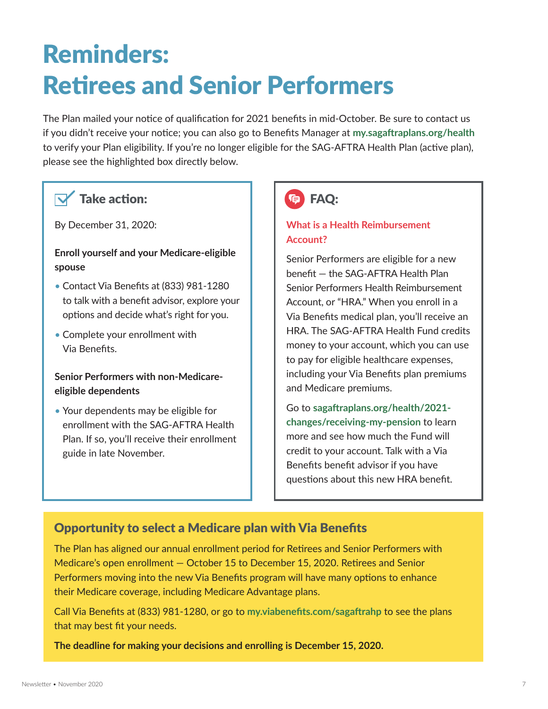# Reminders: Retirees and Senior Performers

The Plan mailed your notice of qualification for 2021 benefits in mid-October. Be sure to contact us if you didn't receive your notice; you can also go to Benefits Manager at **my.sagaftraplans.org/health** to verify your Plan eligibility. If you're no longer eligible for the SAG-AFTRA Health Plan (active plan), please see the highlighted box directly below.

#### Take action:

By December 31, 2020:

#### **Enroll yourself and your Medicare-eligible spouse**

- Contact Via Benefits at (833) 981-1280 to talk with a benefit advisor, explore your options and decide what's right for you.
- Complete your enrollment with Via Benefits.

#### **Senior Performers with non-Medicareeligible dependents**

• Your dependents may be eligible for enrollment with the SAG-AFTRA Health Plan. If so, you'll receive their enrollment guide in late November.



#### **What is a Health Reimbursement Account?**

Senior Performers are eligible for a new benefit — the SAG-AFTRA Health Plan Senior Performers Health Reimbursement Account, or "HRA." When you enroll in a Via Benefits medical plan, you'll receive an HRA. The SAG-AFTRA Health Fund credits money to your account, which you can use to pay for eligible healthcare expenses, including your Via Benefits plan premiums and Medicare premiums.

Go to **sagaftraplans.org/health/2021 changes/receiving-my-pension** to learn more and see how much the Fund will credit to your account. Talk with a Via Benefits benefit advisor if you have questions about this new HRA benefit.

#### Opportunity to select a Medicare plan with Via Benefits

The Plan has aligned our annual enrollment period for Retirees and Senior Performers with Medicare's open enrollment — October 15 to December 15, 2020. Retirees and Senior Performers moving into the new Via Benefits program will have many options to enhance their Medicare coverage, including Medicare Advantage plans.

Call Via Benefits at (833) 981-1280, or go to **my.viabenefits.com/sagaftrahp** to see the plans that may best fit your needs.

**The deadline for making your decisions and enrolling is December 15, 2020.**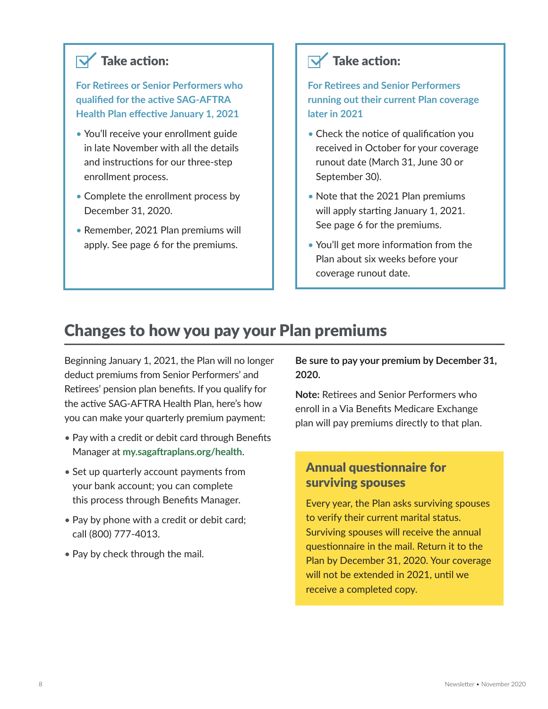### $\nabla$  Take action:

**For Retirees or Senior Performers who qualified for the active SAG-AFTRA Health Plan effective January 1, 2021**

- You'll receive your enrollment guide in late November with all the details and instructions for our three-step enrollment process.
- Complete the enrollment process by December 31, 2020.
- Remember, 2021 Plan premiums will apply. See page 6 for the premiums.

### $\nabla$  Take action:

**For Retirees and Senior Performers running out their current Plan coverage later in 2021**

- Check the notice of qualification you received in October for your coverage runout date (March 31, June 30 or September 30).
- Note that the 2021 Plan premiums will apply starting January 1, 2021. See page 6 for the premiums.
- You'll get more information from the Plan about six weeks before your coverage runout date.

### Changes to how you pay your Plan premiums

Beginning January 1, 2021, the Plan will no longer deduct premiums from Senior Performers' and Retirees' pension plan benefits. If you qualify for the active SAG-AFTRA Health Plan, here's how you can make your quarterly premium payment:

- Pay with a credit or debit card through Benefits Manager at **my.sagaftraplans.org/health**.
- Set up quarterly account payments from your bank account; you can complete this process through Benefits Manager.
- Pay by phone with a credit or debit card; call (800) 777-4013.
- Pay by check through the mail.

**Be sure to pay your premium by December 31, 2020.**

**Note:** Retirees and Senior Performers who enroll in a Via Benefits Medicare Exchange plan will pay premiums directly to that plan.

#### Annual questionnaire for surviving spouses

Every year, the Plan asks surviving spouses to verify their current marital status. Surviving spouses will receive the annual questionnaire in the mail. Return it to the Plan by December 31, 2020. Your coverage will not be extended in 2021, until we receive a completed copy.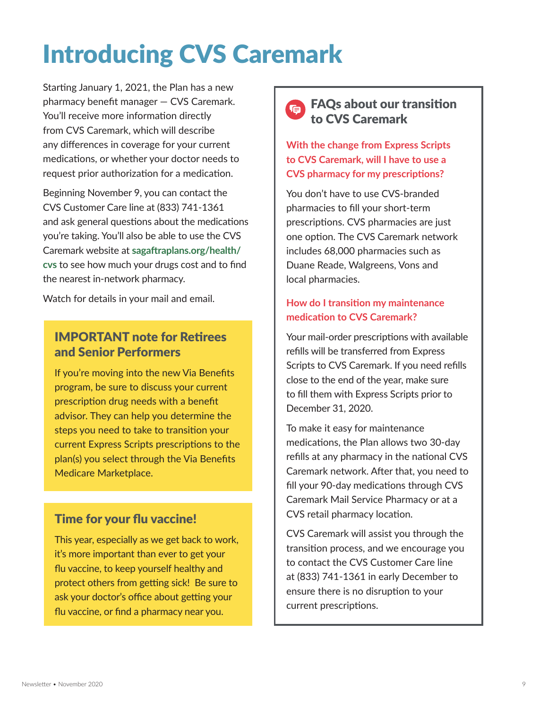# Introducing CVS Caremark

Starting January 1, 2021, the Plan has a new pharmacy benefit manager — CVS Caremark. You'll receive more information directly from CVS Caremark, which will describe any differences in coverage for your current medications, or whether your doctor needs to request prior authorization for a medication.

Beginning November 9, you can contact the CVS Customer Care line at (833) 741-1361 and ask general questions about the medications you're taking. You'll also be able to use the CVS Caremark website at **sagaftraplans.org/health/ cvs** to see how much your drugs cost and to find the nearest in-network pharmacy.

Watch for details in your mail and email.

#### IMPORTANT note for Retirees and Senior Performers

If you're moving into the new Via Benefits program, be sure to discuss your current prescription drug needs with a benefit advisor. They can help you determine the steps you need to take to transition your current Express Scripts prescriptions to the plan(s) you select through the Via Benefits Medicare Marketplace.

#### Time for your flu vaccine!

This year, especially as we get back to work, it's more important than ever to get your flu vaccine, to keep yourself healthy and protect others from getting sick! Be sure to ask your doctor's office about getting your flu vaccine, or find a pharmacy near you.



**With the change from Express Scripts to CVS Caremark, will I have to use a CVS pharmacy for my prescriptions?**

You don't have to use CVS-branded pharmacies to fill your short-term prescriptions. CVS pharmacies are just one option. The CVS Caremark network includes 68,000 pharmacies such as Duane Reade, Walgreens, Vons and local pharmacies.

#### **How do I transition my maintenance medication to CVS Caremark?**

Your mail-order prescriptions with available refills will be transferred from Express Scripts to CVS Caremark. If you need refills close to the end of the year, make sure to fill them with Express Scripts prior to December 31, 2020.

To make it easy for maintenance medications, the Plan allows two 30-day refills at any pharmacy in the national CVS Caremark network. After that, you need to fill your 90-day medications through CVS Caremark Mail Service Pharmacy or at a CVS retail pharmacy location.

CVS Caremark will assist you through the transition process, and we encourage you to contact the CVS Customer Care line at (833) 741-1361 in early December to ensure there is no disruption to your current prescriptions.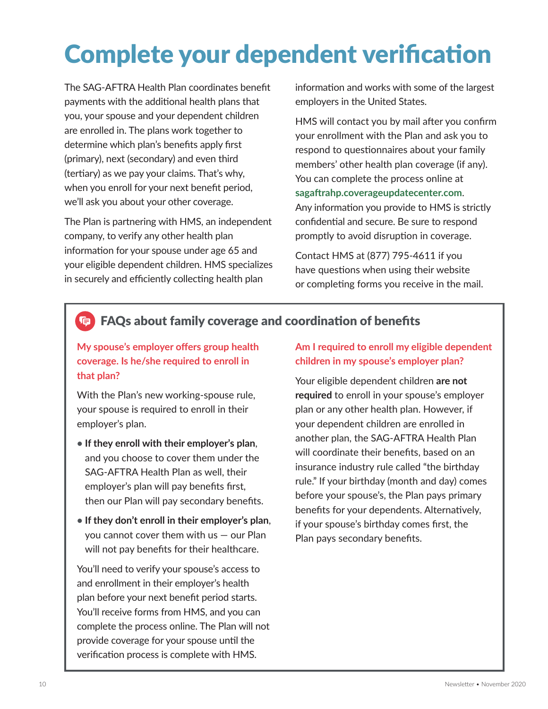# Complete your dependent verification

The SAG-AFTRA Health Plan coordinates benefit payments with the additional health plans that you, your spouse and your dependent children are enrolled in. The plans work together to determine which plan's benefits apply first (primary), next (secondary) and even third (tertiary) as we pay your claims. That's why, when you enroll for your next benefit period, we'll ask you about your other coverage.

The Plan is partnering with HMS, an independent company, to verify any other health plan information for your spouse under age 65 and your eligible dependent children. HMS specializes in securely and efficiently collecting health plan

information and works with some of the largest employers in the United States.

HMS will contact you by mail after you confirm your enrollment with the Plan and ask you to respond to questionnaires about your family members' other health plan coverage (if any). You can complete the process online at **sagaftrahp.coverageupdatecenter.com**. Any information you provide to HMS is strictly confidential and secure. Be sure to respond

Contact HMS at (877) 795-4611 if you have questions when using their website or completing forms you receive in the mail.

promptly to avoid disruption in coverage.

#### FAQs about family coverage and coordination of benefits **G**

**My spouse's employer offers group health coverage. Is he/she required to enroll in that plan?**

With the Plan's new working-spouse rule, your spouse is required to enroll in their employer's plan.

- **• If they enroll with their employer's plan**, and you choose to cover them under the SAG-AFTRA Health Plan as well, their employer's plan will pay benefits first, then our Plan will pay secondary benefits.
- **• If they don't enroll in their employer's plan**, you cannot cover them with us — our Plan will not pay benefits for their healthcare.

You'll need to verify your spouse's access to and enrollment in their employer's health plan before your next benefit period starts. You'll receive forms from HMS, and you can complete the process online. The Plan will not provide coverage for your spouse until the verification process is complete with HMS.

#### **Am I required to enroll my eligible dependent children in my spouse's employer plan?**

Your eligible dependent children **are not required** to enroll in your spouse's employer plan or any other health plan. However, if your dependent children are enrolled in another plan, the SAG-AFTRA Health Plan will coordinate their benefits, based on an insurance industry rule called "the birthday rule." If your birthday (month and day) comes before your spouse's, the Plan pays primary benefits for your dependents. Alternatively, if your spouse's birthday comes first, the Plan pays secondary benefits.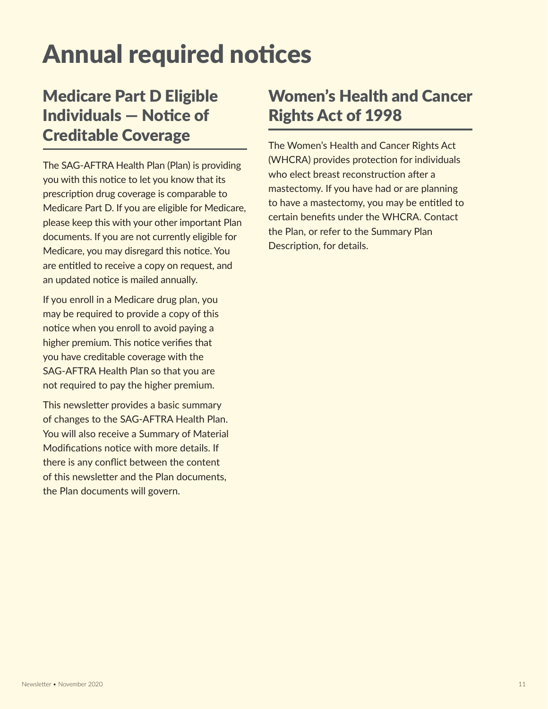# Annual required notices

# Medicare Part D Eligible Individuals — Notice of Creditable Coverage

The SAG-AFTRA Health Plan (Plan) is providing you with this notice to let you know that its prescription drug coverage is comparable to Medicare Part D. If you are eligible for Medicare, please keep this with your other important Plan documents. If you are not currently eligible for Medicare, you may disregard this notice. You are entitled to receive a copy on request, and an updated notice is mailed annually.

If you enroll in a Medicare drug plan, you may be required to provide a copy of this notice when you enroll to avoid paying a higher premium. This notice verifies that you have creditable coverage with the SAG-AFTRA Health Plan so that you are not required to pay the higher premium.

This newsletter provides a basic summary of changes to the SAG-AFTRA Health Plan. You will also receive a Summary of Material Modifications notice with more details. If there is any conflict between the content of this newsletter and the Plan documents, the Plan documents will govern.

# Women's Health and Cancer Rights Act of 1998

The Women's Health and Cancer Rights Act (WHCRA) provides protection for individuals who elect breast reconstruction after a mastectomy. If you have had or are planning to have a mastectomy, you may be entitled to certain benefits under the WHCRA. Contact the Plan, or refer to the Summary Plan Description, for details.